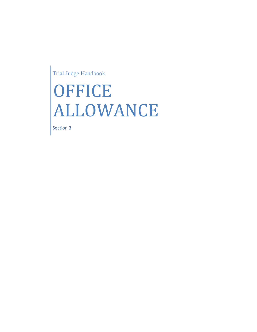Trial Judge Handbook

## OFFICE ALLOWANCE

Section 3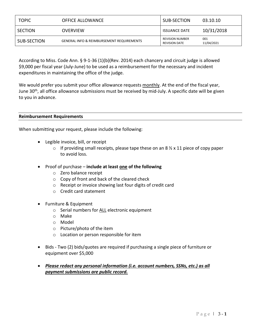| <b>TOPIC</b>   | <b>OFFICE ALLOWANCE</b>                              | SUB-SECTION                                    | 03.10.10          |
|----------------|------------------------------------------------------|------------------------------------------------|-------------------|
| <b>SECTION</b> | <b>OVERVIEW</b>                                      | <b>ISSUANCE DATE</b>                           | 10/31/2018        |
| SUB-SECTION    | <b>GENERAL INFO &amp; REIMBURSEMENT REQUIREMENTS</b> | <b>REVISION NUMBER</b><br><b>REVISION DATE</b> | 001<br>11/04/2021 |

According to Miss. Code Ann. § 9-1-36 (1)(b)(Rev. 2014) each chancery and circuit judge is allowed \$9,000 per fiscal year (July-June) to be used as a reimbursement for the necessary and incident expenditures in maintaining the office of the judge.

We would prefer you submit your office allowance requests monthly. At the end of the fiscal year, June 30<sup>th</sup>, all office allowance submissions must be received by mid-July. A specific date will be given to you in advance.

## **Reimbursement Requirements**

When submitting your request, please include the following:

- Legible invoice, bill, or receipt
	- $\circ$  If providing small receipts, please tape these on an 8  $\frac{1}{2}$  x 11 piece of copy paper to avoid loss.
- Proof of purchase **include at least one of the following**
	- o Zero balance receipt
	- o Copy of front and back of the cleared check
	- o Receipt or invoice showing last four digits of credit card
	- o Credit card statement
- Furniture & Equipment
	- o Serial numbers for ALL electronic equipment
	- o Make
	- o Model
	- o Picture/photo of the item
	- o Location or person responsible for item
- Bids Two (2) bids/quotes are required if purchasing a single piece of furniture or equipment over \$5,000
- *Please redact any personal information (i.e. account numbers, SSNs, etc.) as all payment submissions are public record.*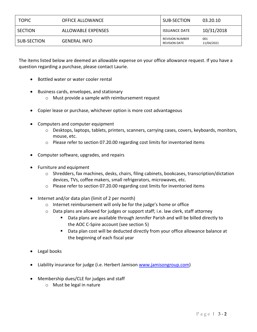| <b>TOPIC</b> | <b>OFFICE ALLOWANCE</b> | SUB-SECTION                                    | 03.20.10          |
|--------------|-------------------------|------------------------------------------------|-------------------|
| SECTION      | ALLOWABLE EXPENSES      | <b>ISSUANCE DATE</b>                           | 10/31/2018        |
| SUB-SECTION  | <b>GENERAL INFO</b>     | <b>REVISION NUMBER</b><br><b>REVISION DATE</b> | 001<br>11/04/2021 |

The items listed below are deemed an allowable expense on your office allowance request. If you have a question regarding a purchase, please contact Laurie.

- Bottled water or water cooler rental
- Business cards, envelopes, and stationary
	- o Must provide a sample with reimbursement request
- Copier lease or purchase, whichever option is more cost advantageous
- Computers and computer equipment
	- o Desktops, laptops, tablets, printers, scanners, carrying cases, covers, keyboards, monitors, mouse, etc.
	- o Please refer to section 07.20.00 regarding cost limits for inventoried items
- Computer software, upgrades, and repairs
- Furniture and equipment
	- $\circ$  Shredders, fax machines, desks, chairs, filing cabinets, bookcases, transcription/dictation devices, TVs, coffee makers, small refrigerators, microwaves, etc.
	- $\circ$  Please refer to section 07.20.00 regarding cost limits for inventoried items
- Internet and/or data plan (limit of 2 per month)
	- o Internet reimbursement will only be for the judge's home or office
	- $\circ$  Data plans are allowed for judges or support staff; i.e. law clerk, staff attorney
		- Data plans are available through Jennifer Parish and will be billed directly to the AOC C-Spire account (see section 5)
		- Data plan cost will be deducted directly from your office allowance balance at the beginning of each fiscal year
- Legal books
- Liability insurance for judge (i.e. Herbert Jamison [www.jamisongroup.com\)](http://www.jamisongroup.com/)
- Membership dues/CLE for judges and staff
	- o Must be legal in nature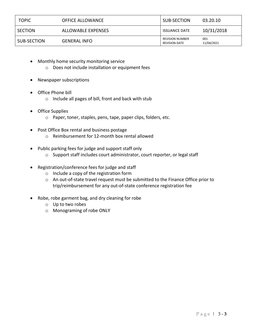| <b>TOPIC</b>   | <b>OFFICE ALLOWANCE</b> | SUB-SECTION                                    | 03.20.10          |
|----------------|-------------------------|------------------------------------------------|-------------------|
| <b>SECTION</b> | ALLOWABLE EXPENSES      | <b>ISSUANCE DATE</b>                           | 10/31/2018        |
| SUB-SECTION    | <b>GENERAL INFO</b>     | <b>REVISION NUMBER</b><br><b>REVISION DATE</b> | 001<br>11/04/2021 |

- Monthly home security monitoring service
	- o Does not include installation or equipment fees
- Newspaper subscriptions
- Office Phone bill
	- o Include all pages of bill, front and back with stub
- Office Supplies
	- o Paper, toner, staples, pens, tape, paper clips, folders, etc.
- Post Office Box rental and business postage o Reimbursement for 12-month box rental allowed
- Public parking fees for judge and support staff only
	- o Support staff includes court administrator, court reporter, or legal staff
- Registration/conference fees for judge and staff
	- o Include a copy of the registration form
	- o An out-of-state travel request must be submitted to the Finance Office prior to trip/reimbursement for any out-of-state conference registration fee
- Robe, robe garment bag, and dry cleaning for robe
	- o Up to two robes
	- o Monograming of robe ONLY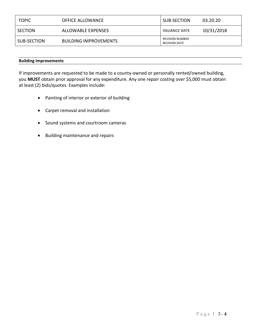| <b>TOPIC</b>   | <b>OFFICE ALLOWANCE</b>      | SUB-SECTION                                    | 03.20.20   |
|----------------|------------------------------|------------------------------------------------|------------|
| <b>SECTION</b> | ALLOWABLE EXPENSES           | <b>ISSUANCE DATE</b>                           | 10/31/2018 |
| SUB-SECTION    | <b>BUILDING IMPROVEMENTS</b> | <b>REVISION NUMBER</b><br><b>REVISION DATE</b> |            |

## **Building Improvements**

If improvements are requested to be made to a county-owned or personally rented/owned building, you **MUST** obtain prior approval for any expenditure. Any one repair costing over \$5,000 must obtain at least (2) bids/quotes. Examples include:

- Painting of interior or exterior of building
- Carpet removal and installation
- Sound systems and courtroom cameras
- Building maintenance and repairs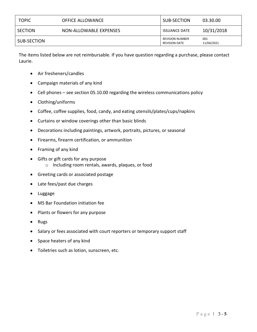| <b>TOPIC</b> | <b>OFFICE ALLOWANCE</b> | SUB-SECTION                                    | 03.30.00          |
|--------------|-------------------------|------------------------------------------------|-------------------|
| SECTION      | NON-ALLOWABLE EXPENSES  | <b>ISSUANCE DATE</b>                           | 10/31/2018        |
| SUB-SECTION  |                         | <b>REVISION NUMBER</b><br><b>REVISION DATE</b> | 001<br>11/04/2021 |

The items listed below are not reimbursable. If you have question regarding a purchase, please contact Laurie.

- Air fresheners/candles
- Campaign materials of any kind
- Cell phones see section 05.10.00 regarding the wireless communications policy
- Clothing/uniforms
- Coffee, coffee supplies, food, candy, and eating utensils/plates/cups/napkins
- Curtains or window coverings other than basic blinds
- Decorations including paintings, artwork, portraits, pictures, or seasonal
- Firearms, firearm certification, or ammunition
- Framing of any kind
- Gifts or gift cards for any purpose o Including room rentals, awards, plaques, or food
- Greeting cards or associated postage
- Late fees/past due charges
- Luggage
- MS Bar Foundation initiation fee
- Plants or flowers for any purpose
- Rugs
- Salary or fees associated with court reporters or temporary support staff
- Space heaters of any kind
- Toiletries such as lotion, sunscreen, etc.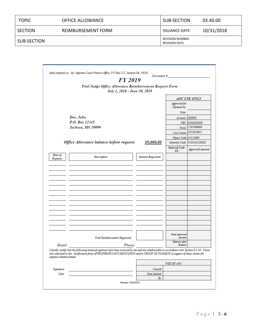| <b>TOPIC</b> | <b>OFFICE ALLOWANCE</b> | SUB-SECTION                                    | 03.40.00   |
|--------------|-------------------------|------------------------------------------------|------------|
| SECTION      | REIMBURSEMENT FORM      | <b>ISSUANCE DATE</b>                           | 10/31/2018 |
| SUB-SECTION  |                         | <b>REVISION NUMBER</b><br><b>REVISION DATE</b> |            |

|                           | FY 2019                                                                                                                                                                                                                                                                    | Document#               |                                 |                        |
|---------------------------|----------------------------------------------------------------------------------------------------------------------------------------------------------------------------------------------------------------------------------------------------------------------------|-------------------------|---------------------------------|------------------------|
|                           | Trial Judge Office Allowance Reimbursement Request Form<br>July 1, 2018 - June 30, 2019                                                                                                                                                                                    |                         |                                 |                        |
|                           |                                                                                                                                                                                                                                                                            |                         |                                 | <b>AOC USE ONLY</b>    |
|                           |                                                                                                                                                                                                                                                                            |                         | Approved for<br>Payment by:     |                        |
|                           |                                                                                                                                                                                                                                                                            |                         | Date:                           |                        |
| Doe, John                 |                                                                                                                                                                                                                                                                            |                         | Account: XXXXX                  |                        |
|                           | P.O. Box 12345                                                                                                                                                                                                                                                             |                         | PID:                            | E30XXXXXX              |
|                           | Jackson, MS 39999                                                                                                                                                                                                                                                          |                         | Fund:                           | 2205300000             |
|                           |                                                                                                                                                                                                                                                                            |                         | Cost Center                     | 1051034011             |
|                           |                                                                                                                                                                                                                                                                            |                         | Object Code 62125000            |                        |
|                           | Office Allowance balance before request:                                                                                                                                                                                                                                   | <u>\$9,000.00</u>       | Material Code                   | U105162100XX           |
|                           |                                                                                                                                                                                                                                                                            |                         | <b>Material Code</b><br>ХX      | <b>Approved Amount</b> |
| Date of<br><b>Expense</b> | <b>Description</b>                                                                                                                                                                                                                                                         | <b>Amount Requested</b> |                                 |                        |
|                           |                                                                                                                                                                                                                                                                            |                         |                                 |                        |
|                           |                                                                                                                                                                                                                                                                            |                         |                                 |                        |
|                           |                                                                                                                                                                                                                                                                            |                         |                                 |                        |
|                           |                                                                                                                                                                                                                                                                            |                         |                                 |                        |
|                           |                                                                                                                                                                                                                                                                            |                         |                                 |                        |
|                           |                                                                                                                                                                                                                                                                            |                         |                                 |                        |
|                           |                                                                                                                                                                                                                                                                            |                         |                                 |                        |
|                           |                                                                                                                                                                                                                                                                            |                         |                                 |                        |
|                           |                                                                                                                                                                                                                                                                            |                         |                                 |                        |
|                           |                                                                                                                                                                                                                                                                            |                         |                                 |                        |
|                           |                                                                                                                                                                                                                                                                            |                         |                                 |                        |
|                           |                                                                                                                                                                                                                                                                            |                         |                                 |                        |
|                           |                                                                                                                                                                                                                                                                            |                         |                                 |                        |
|                           |                                                                                                                                                                                                                                                                            |                         |                                 |                        |
|                           |                                                                                                                                                                                                                                                                            |                         |                                 |                        |
|                           |                                                                                                                                                                                                                                                                            |                         |                                 |                        |
|                           | Total Reimbursement Requested:                                                                                                                                                                                                                                             |                         | <b>Total Approved</b><br>Amount |                        |
| Email:                    | Phone:                                                                                                                                                                                                                                                                     |                         | <b>Balance</b> after<br>Request |                        |
| expense reimbursement.    | I hereby certify that the following itemized expenses have been incurred by me and are reimbursable in accordance with Section 9-1-36. I have<br>also attached to this certification form APPROPRIATE DOCUMENTATION and/or PROOF OF PAYMENT in support of these claims for |                         |                                 |                        |
|                           |                                                                                                                                                                                                                                                                            |                         | PAID BY AOC                     |                        |
| Signature:                |                                                                                                                                                                                                                                                                            | Check#:                 |                                 |                        |
| Date:                     |                                                                                                                                                                                                                                                                            | Date Mailed:            |                                 |                        |
|                           |                                                                                                                                                                                                                                                                            | By:                     |                                 |                        |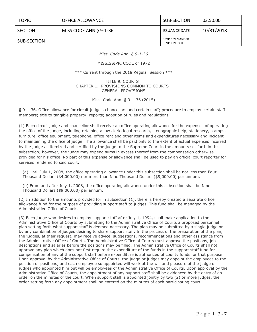## TOPIC OFFICE ALLOWANCE SUB-SECTION 03.50.00

SECTION MISS CODE ANN § 9-1-36 ISSUANCE DATE 10/31/2018

SUB-SECTION REVISION NUMBER REVISION DATE

*Miss. Code Ann. § 9-1-36*

MISSISSIPPI CODE of 1972

\*\*\* Current through the 2018 Regular Session \*\*\*

TITLE 9. COURTS CHAPTER 1. PROVISIONS COMMON TO COURTS GENERAL PROVISIONS

Miss. Code Ann. § 9-1-36 (2015)

§ 9-1-36. Office allowance for circuit judges, chancellors and certain staff; procedure to employ certain staff members; title to tangible property; reports; adoption of rules and regulations

(1) Each circuit judge and chancellor shall receive an office operating allowance for the expenses of operating the office of the judge, including retaining a law clerk, legal research, stenographic help, stationery, stamps, furniture, office equipment, telephone, office rent and other items and expenditures necessary and incident to maintaining the office of judge. The allowance shall be paid only to the extent of actual expenses incurred by the judge as itemized and certified by the judge to the Supreme Court in the amounts set forth in this subsection; however, the judge may expend sums in excess thereof from the compensation otherwise provided for his office. No part of this expense or allowance shall be used to pay an official court reporter for services rendered to said court.

(a) Until July 1, 2008, the office operating allowance under this subsection shall be not less than Four Thousand Dollars (\$4,000.00) nor more than Nine Thousand Dollars (\$9,000.00) per annum.

(b) From and after July 1, 2008, the office operating allowance under this subsection shall be Nine Thousand Dollars (\$9,000.00) per annum.

(2) In addition to the amounts provided for in subsection (1), there is hereby created a separate office allowance fund for the purpose of providing support staff to judges. This fund shall be managed by the Administrative Office of Courts.

(3) Each judge who desires to employ support staff after July 1, 1994, shall make application to the Administrative Office of Courts by submitting to the Administrative Office of Courts a proposed personnel plan setting forth what support staff is deemed necessary. The plan may be submitted by a single judge or by any combination of judges desiring to share support staff. In the process of the preparation of the plan, the judges, at their request, may receive advice, suggestions, recommendations and other assistance from the Administrative Office of Courts. The Administrative Office of Courts must approve the positions, job descriptions and salaries before the positions may be filled. The Administrative Office of Courts shall not approve any plan which does not first require the expenditure of the funds in the support staff fund for compensation of any of the support staff before expenditure is authorized of county funds for that purpose. Upon approval by the Administrative Office of Courts, the judge or judges may appoint the employees to the position or positions, and each employee so appointed will work at the will and pleasure of the judge or judges who appointed him but will be employees of the Administrative Office of Courts. Upon approval by the Administrative Office of Courts, the appointment of any support staff shall be evidenced by the entry of an order on the minutes of the court. When support staff is appointed jointly by two (2) or more judges, the order setting forth any appointment shall be entered on the minutes of each participating court.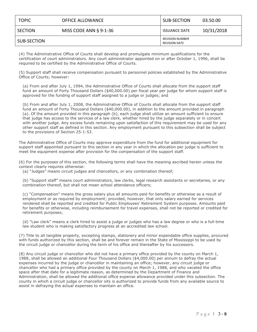| <b>TOPIC</b> | <b>OFFICE ALLOWANCE</b>   | SUB-SECTION                                    | 03.50.00   |
|--------------|---------------------------|------------------------------------------------|------------|
| SECTION      | MISS CODE ANN $\S$ 9-1-36 | <b>ISSUANCE DATE</b>                           | 10/31/2018 |
| SUB-SECTION  |                           | <b>REVISION NUMBER</b><br><b>REVISION DATE</b> |            |

(4) The Administrative Office of Courts shall develop and promulgate minimum qualifications for the certification of court administrators. Any court administrator appointed on or after October 1, 1996, shall be required to be certified by the Administrative Office of Courts.

(5) Support staff shall receive compensation pursuant to personnel policies established by the Administrative Office of Courts; however:

(a) From and after July 1, 1994, the Administrative Office of Courts shall allocate from the support staff fund an amount of Forty Thousand Dollars (\$40,000.00) per fiscal year per judge for whom support staff is approved for the funding of support staff assigned to a judge or judges; and

(b) From and after July 1, 2008, the Administrative Office of Courts shall allocate from the support staff fund an amount of Forty Thousand Dollars (\$40,000.00), in addition to the amount provided in paragraph (a). Of the amount provided in this paragraph (b), each judge shall utilize an amount sufficient to ensure that judge has access to the services of a law clerk, whether hired by the judge separately or in concert with another judge. Any excess funds remaining upon satisfaction of this requirement may be used for any other support staff as defined in this section. Any employment pursuant to this subsection shall be subject to the provisions of Section 25-1-53.

The Administrative Office of Courts may approve expenditure from the fund for additional equipment for support staff appointed pursuant to this section in any year in which the allocation per judge is sufficient to meet the equipment expense after provision for the compensation of the support staff.

(6) For the purposes of this section, the following terms shall have the meaning ascribed herein unless the context clearly requires otherwise:

(a) "Judges" means circuit judges and chancellors, or any combination thereof;

(b) "Support staff" means court administrators, law clerks, legal research assistants or secretaries, or any combination thereof, but shall not mean school attendance officers;

(c) "Compensation" means the gross salary plus all amounts paid for benefits or otherwise as a result of employment or as required by employment; provided, however, that only salary earned for services rendered shall be reported and credited for Public Employees' Retirement System purposes. Amounts paid for benefits or otherwise, including reimbursement for travel expenses, shall not be reported or credited for retirement purposes;

(d) "Law clerk" means a clerk hired to assist a judge or judges who has a law degree or who is a full-time law student who is making satisfactory progress at an accredited law school.

(7) Title to all tangible property, excepting stamps, stationery and minor expendable office supplies, procured with funds authorized by this section, shall be and forever remain in the State of Mississippi to be used by the circuit judge or chancellor during the term of his office and thereafter by his successors.

(8) Any circuit judge or chancellor who did not have a primary office provided by the county on March 1, 1988, shall be allowed an additional Four Thousand Dollars (\$4,000.00) per annum to defray the actual expenses incurred by the judge or chancellor in maintaining an office; however, any circuit judge or chancellor who had a primary office provided by the county on March 1, 1988, and who vacated the office space after that date for a legitimate reason, as determined by the Department of Finance and Administration, shall be allowed the additional office expense allowance provided under this subsection. The county in which a circuit judge or chancellor sits is authorized to provide funds from any available source to assist in defraying the actual expenses to maintain an office.